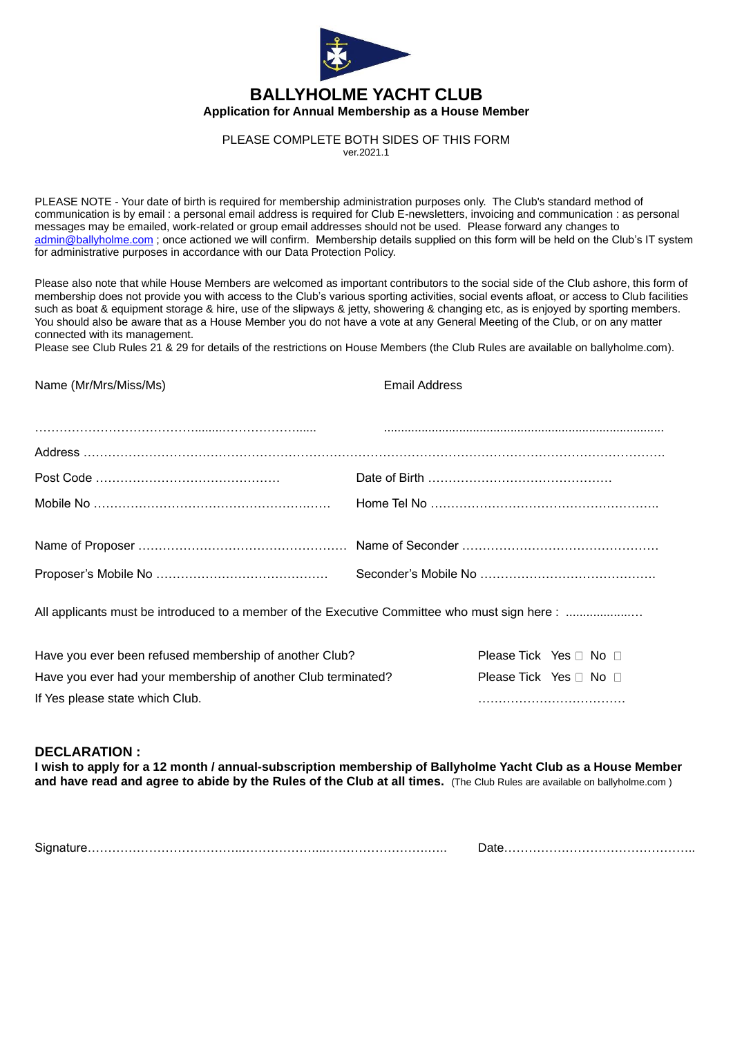

## **BALLYHOLME YACHT CLUB Application for Annual Membership as a House Member**

PLEASE COMPLETE BOTH SIDES OF THIS FORM

ver.2021.1

PLEASE NOTE - Your date of birth is required for membership administration purposes only. The Club's standard method of communication is by email : a personal email address is required for Club E-newsletters, invoicing and communication : as personal messages may be emailed, work-related or group email addresses should not be used. Please forward any changes to [admin@ballyholme.com](mailto:admin@ballyholme.com) ; once actioned we will confirm. Membership details supplied on this form will be held on the Club's IT system for administrative purposes in accordance with our Data Protection Policy.

Please also note that while House Members are welcomed as important contributors to the social side of the Club ashore, this form of membership does not provide you with access to the Club's various sporting activities, social events afloat, or access to Club facilities such as boat & equipment storage & hire, use of the slipways & jetty, showering & changing etc, as is enjoyed by sporting members. You should also be aware that as a House Member you do not have a vote at any General Meeting of the Club, or on any matter connected with its management.

Please see Club Rules 21 & 29 for details of the restrictions on House Members (the Club Rules are available on ballyholme.com).

Name (Mr/Mrs/Miss/Ms) Email Address

All applicants must be introduced to a member of the Executive Committee who must sign here : ...................

| Have you ever been refused membership of another Club?        | Please Tick Yes □ No □           |  |
|---------------------------------------------------------------|----------------------------------|--|
| Have you ever had your membership of another Club terminated? | Please Tick Yes $\Box$ No $\Box$ |  |
| If Yes please state which Club.                               |                                  |  |

## **DECLARATION :**

**I wish to apply for a 12 month / annual-subscription membership of Ballyholme Yacht Club as a House Member and have read and agree to abide by the Rules of the Club at all times.** (The Club Rules are available on ballyholme.com )

| <b>.</b><br>Siar1 |  |
|-------------------|--|
|-------------------|--|